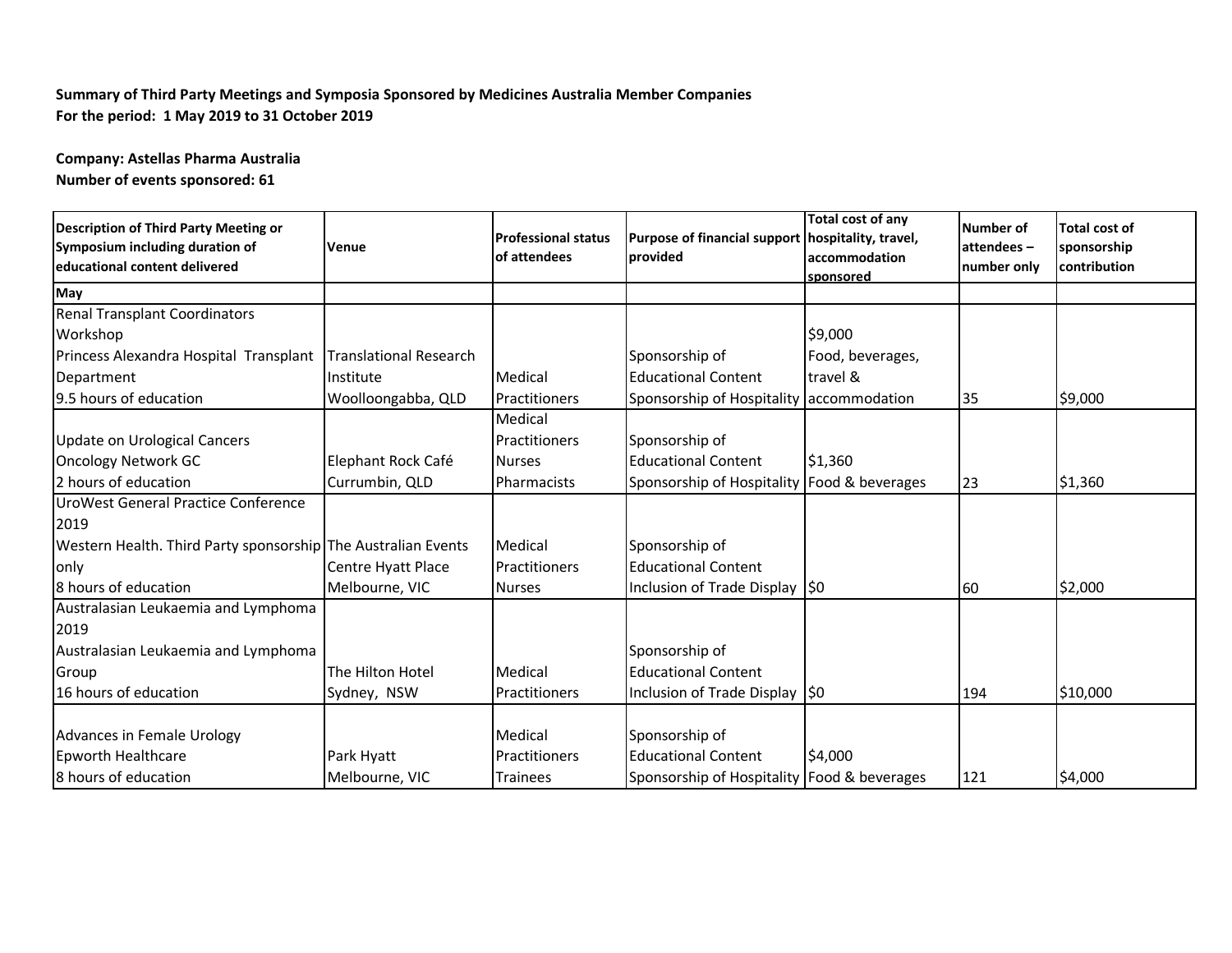## **Summary of Third Party Meetings and Symposia Sponsored by Medicines Australia Member Companies For the period: 1 May 2019 to 31 October 2019**

**Company: Astellas Pharma Australia Number of events sponsored: 61**

| Description of Third Party Meeting or<br>Symposium including duration of<br>educational content delivered | <b>Venue</b>       | <b>Professional status</b><br>of attendees | Purpose of financial support hospitality, travel,<br><b>provided</b> | <b>Total cost of any</b><br>accommodation<br>sponsored | Number of<br>attendees-<br>number only | <b>Total cost of</b><br>sponsorship<br>contribution |
|-----------------------------------------------------------------------------------------------------------|--------------------|--------------------------------------------|----------------------------------------------------------------------|--------------------------------------------------------|----------------------------------------|-----------------------------------------------------|
| May                                                                                                       |                    |                                            |                                                                      |                                                        |                                        |                                                     |
| <b>Renal Transplant Coordinators</b>                                                                      |                    |                                            |                                                                      |                                                        |                                        |                                                     |
| Workshop                                                                                                  |                    |                                            |                                                                      | \$9,000                                                |                                        |                                                     |
| Princess Alexandra Hospital Transplant   Translational Research                                           |                    |                                            | Sponsorship of                                                       | Food, beverages,                                       |                                        |                                                     |
| Department                                                                                                | Institute          | Medical                                    | <b>Educational Content</b>                                           | travel &                                               |                                        |                                                     |
| 9.5 hours of education                                                                                    | Woolloongabba, QLD | Practitioners                              | Sponsorship of Hospitality accommodation                             |                                                        | 35                                     | \$9,000                                             |
|                                                                                                           |                    | Medical                                    |                                                                      |                                                        |                                        |                                                     |
| <b>Update on Urological Cancers</b>                                                                       |                    | Practitioners                              | Sponsorship of                                                       |                                                        |                                        |                                                     |
| <b>Oncology Network GC</b>                                                                                | Elephant Rock Café | <b>Nurses</b>                              | <b>Educational Content</b>                                           | \$1,360                                                |                                        |                                                     |
| 2 hours of education                                                                                      | Currumbin, QLD     | Pharmacists                                | Sponsorship of Hospitality Food & beverages                          |                                                        | 23                                     | \$1,360                                             |
| UroWest General Practice Conference                                                                       |                    |                                            |                                                                      |                                                        |                                        |                                                     |
| 2019                                                                                                      |                    |                                            |                                                                      |                                                        |                                        |                                                     |
| Western Health. Third Party sponsorship The Australian Events                                             |                    | Medical                                    | Sponsorship of                                                       |                                                        |                                        |                                                     |
| only                                                                                                      | Centre Hyatt Place | Practitioners                              | <b>Educational Content</b>                                           |                                                        |                                        |                                                     |
| 8 hours of education                                                                                      | Melbourne, VIC     | <b>Nurses</b>                              | Inclusion of Trade Display 50                                        |                                                        | 60                                     | \$2,000                                             |
| Australasian Leukaemia and Lymphoma                                                                       |                    |                                            |                                                                      |                                                        |                                        |                                                     |
| 2019                                                                                                      |                    |                                            |                                                                      |                                                        |                                        |                                                     |
| Australasian Leukaemia and Lymphoma                                                                       |                    |                                            | Sponsorship of                                                       |                                                        |                                        |                                                     |
| Group                                                                                                     | The Hilton Hotel   | Medical                                    | <b>Educational Content</b>                                           |                                                        |                                        |                                                     |
| 16 hours of education                                                                                     | Sydney, NSW        | Practitioners                              | Inclusion of Trade Display 50                                        |                                                        | 194                                    | \$10,000                                            |
| <b>Advances in Female Urology</b>                                                                         |                    | Medical                                    | Sponsorship of                                                       |                                                        |                                        |                                                     |
| Epworth Healthcare                                                                                        | Park Hyatt         | Practitioners                              | <b>Educational Content</b>                                           | \$4,000                                                |                                        |                                                     |
| 8 hours of education                                                                                      | Melbourne, VIC     | <b>Trainees</b>                            | Sponsorship of Hospitality Food & beverages                          |                                                        | 121                                    | \$4,000                                             |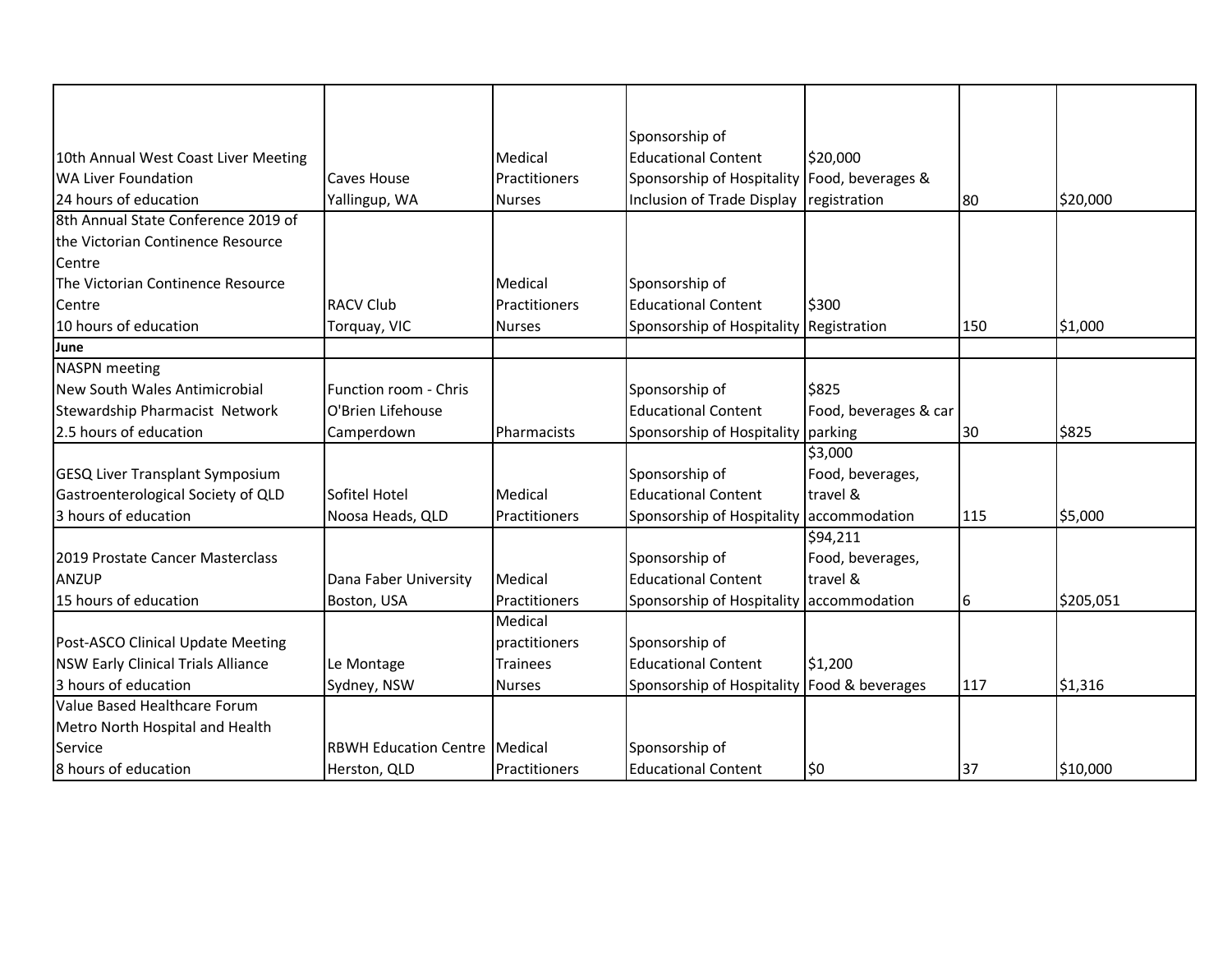|                                           |                                      |                 | Sponsorship of                               |                       |     |           |
|-------------------------------------------|--------------------------------------|-----------------|----------------------------------------------|-----------------------|-----|-----------|
| 10th Annual West Coast Liver Meeting      |                                      | Medical         | <b>Educational Content</b>                   | \$20,000              |     |           |
| <b>WA Liver Foundation</b>                | Caves House                          | Practitioners   | Sponsorship of Hospitality Food, beverages & |                       |     |           |
| 24 hours of education                     | Yallingup, WA                        | <b>Nurses</b>   | Inclusion of Trade Display registration      |                       | 80  | \$20,000  |
| 8th Annual State Conference 2019 of       |                                      |                 |                                              |                       |     |           |
| the Victorian Continence Resource         |                                      |                 |                                              |                       |     |           |
| Centre                                    |                                      |                 |                                              |                       |     |           |
| The Victorian Continence Resource         |                                      | Medical         | Sponsorship of                               |                       |     |           |
| Centre                                    | <b>RACV Club</b>                     | Practitioners   | <b>Educational Content</b>                   | \$300                 |     |           |
| 10 hours of education                     | Torquay, VIC                         | <b>Nurses</b>   | Sponsorship of Hospitality Registration      |                       | 150 | \$1,000   |
| June                                      |                                      |                 |                                              |                       |     |           |
| <b>NASPN</b> meeting                      |                                      |                 |                                              |                       |     |           |
| New South Wales Antimicrobial             | Function room - Chris                |                 | Sponsorship of                               | \$825                 |     |           |
| Stewardship Pharmacist Network            | O'Brien Lifehouse                    |                 | <b>Educational Content</b>                   | Food, beverages & car |     |           |
| 2.5 hours of education                    | Camperdown                           | Pharmacists     | Sponsorship of Hospitality parking           |                       | 30  | \$825     |
|                                           |                                      |                 |                                              | \$3,000               |     |           |
| <b>GESQ Liver Transplant Symposium</b>    |                                      |                 | Sponsorship of                               | Food, beverages,      |     |           |
| Gastroenterological Society of QLD        | Sofitel Hotel                        | Medical         | <b>Educational Content</b>                   | travel &              |     |           |
| 3 hours of education                      | Noosa Heads, QLD                     | Practitioners   | Sponsorship of Hospitality accommodation     |                       | 115 | \$5,000   |
|                                           |                                      |                 |                                              | \$94,211              |     |           |
| 2019 Prostate Cancer Masterclass          |                                      |                 | Sponsorship of                               | Food, beverages,      |     |           |
| <b>ANZUP</b>                              | Dana Faber University                | Medical         | <b>Educational Content</b>                   | travel &              |     |           |
| 15 hours of education                     | Boston, USA                          | Practitioners   | Sponsorship of Hospitality accommodation     |                       | 6   | \$205,051 |
|                                           |                                      | Medical         |                                              |                       |     |           |
| Post-ASCO Clinical Update Meeting         |                                      | practitioners   | Sponsorship of                               |                       |     |           |
| <b>NSW Early Clinical Trials Alliance</b> | Le Montage                           | <b>Trainees</b> | <b>Educational Content</b>                   | \$1,200               |     |           |
| 3 hours of education                      | Sydney, NSW                          | <b>Nurses</b>   | Sponsorship of Hospitality Food & beverages  |                       | 117 | \$1,316   |
| Value Based Healthcare Forum              |                                      |                 |                                              |                       |     |           |
| Metro North Hospital and Health           |                                      |                 |                                              |                       |     |           |
| Service                                   | <b>RBWH Education Centre Medical</b> |                 | Sponsorship of                               |                       |     |           |
| 8 hours of education                      | Herston, QLD                         | Practitioners   | <b>Educational Content</b>                   | \$0                   | 37  | \$10,000  |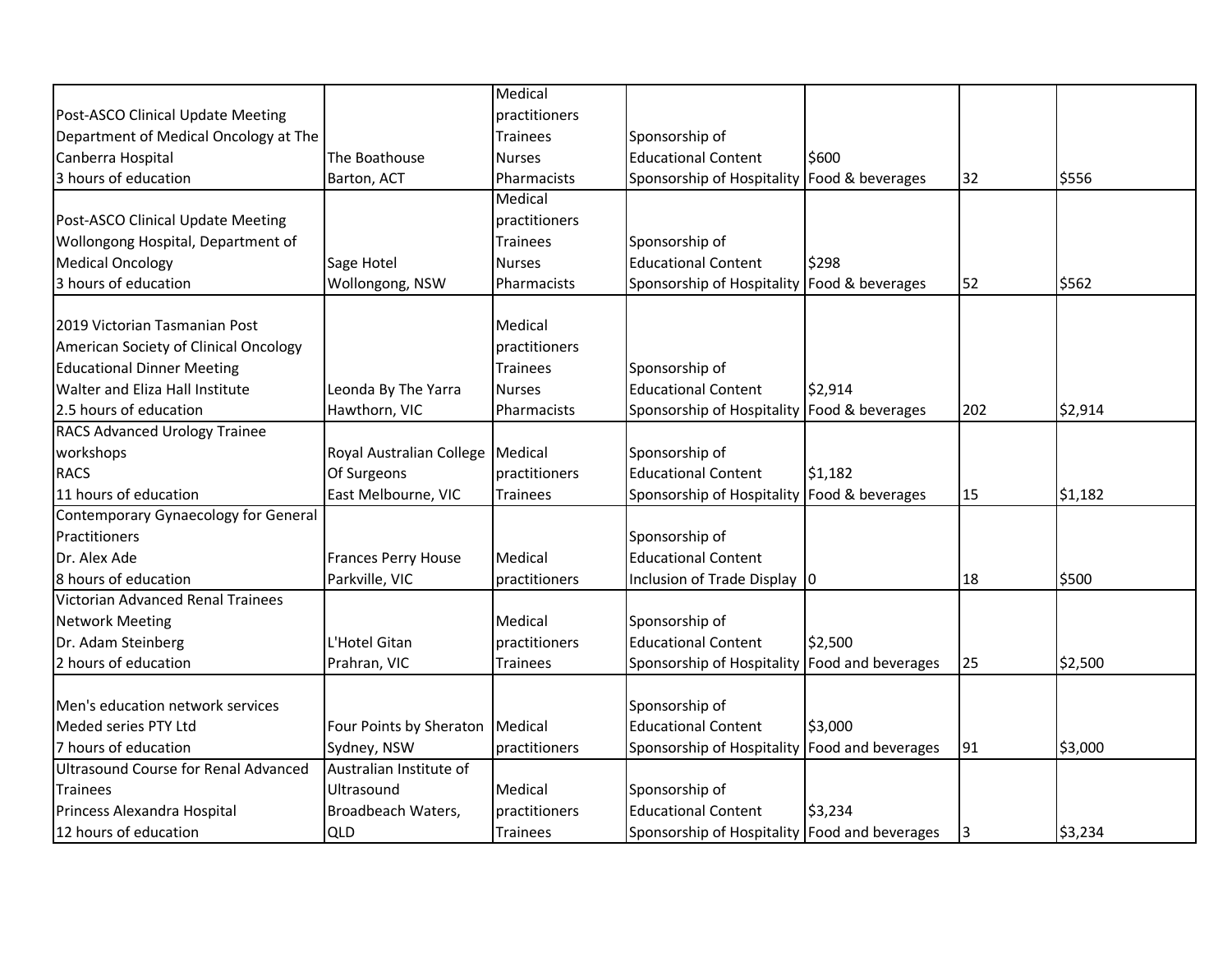|                                       |                                    | Medical         |                                               |         |     |         |
|---------------------------------------|------------------------------------|-----------------|-----------------------------------------------|---------|-----|---------|
| Post-ASCO Clinical Update Meeting     |                                    | practitioners   |                                               |         |     |         |
| Department of Medical Oncology at The |                                    | <b>Trainees</b> | Sponsorship of                                |         |     |         |
| Canberra Hospital                     | The Boathouse                      | <b>Nurses</b>   | <b>Educational Content</b>                    | \$600   |     |         |
| 3 hours of education                  | Barton, ACT                        | Pharmacists     | Sponsorship of Hospitality Food & beverages   |         | 32  | \$556   |
|                                       |                                    | Medical         |                                               |         |     |         |
| Post-ASCO Clinical Update Meeting     |                                    | practitioners   |                                               |         |     |         |
| Wollongong Hospital, Department of    |                                    | <b>Trainees</b> | Sponsorship of                                |         |     |         |
| <b>Medical Oncology</b>               | Sage Hotel                         | <b>Nurses</b>   | <b>Educational Content</b>                    | \$298   |     |         |
| 3 hours of education                  | Wollongong, NSW                    | Pharmacists     | Sponsorship of Hospitality Food & beverages   |         | 52  | \$562   |
| 2019 Victorian Tasmanian Post         |                                    | Medical         |                                               |         |     |         |
| American Society of Clinical Oncology |                                    | practitioners   |                                               |         |     |         |
| <b>Educational Dinner Meeting</b>     |                                    | <b>Trainees</b> | Sponsorship of                                |         |     |         |
| Walter and Eliza Hall Institute       | Leonda By The Yarra                | <b>Nurses</b>   | <b>Educational Content</b>                    | \$2,914 |     |         |
| 2.5 hours of education                | Hawthorn, VIC                      | Pharmacists     | Sponsorship of Hospitality Food & beverages   |         | 202 | \$2,914 |
| <b>RACS Advanced Urology Trainee</b>  |                                    |                 |                                               |         |     |         |
| workshops                             | Royal Australian College   Medical |                 | Sponsorship of                                |         |     |         |
| <b>RACS</b>                           | Of Surgeons                        | practitioners   | <b>Educational Content</b>                    | \$1,182 |     |         |
| 11 hours of education                 | East Melbourne, VIC                | <b>Trainees</b> | Sponsorship of Hospitality Food & beverages   |         | 15  | \$1,182 |
| Contemporary Gynaecology for General  |                                    |                 |                                               |         |     |         |
| Practitioners                         |                                    |                 | Sponsorship of                                |         |     |         |
| Dr. Alex Ade                          | <b>Frances Perry House</b>         | Medical         | <b>Educational Content</b>                    |         |     |         |
| 8 hours of education                  | Parkville, VIC                     | practitioners   | Inclusion of Trade Display                    | 10      | 18  | \$500   |
| Victorian Advanced Renal Trainees     |                                    |                 |                                               |         |     |         |
| <b>Network Meeting</b>                |                                    | Medical         | Sponsorship of                                |         |     |         |
| Dr. Adam Steinberg                    | L'Hotel Gitan                      | practitioners   | <b>Educational Content</b>                    | \$2,500 |     |         |
| 2 hours of education                  | Prahran, VIC                       | <b>Trainees</b> | Sponsorship of Hospitality Food and beverages |         | 25  | \$2,500 |
|                                       |                                    |                 |                                               |         |     |         |
| Men's education network services      |                                    |                 | Sponsorship of                                |         |     |         |
| Meded series PTY Ltd                  | Four Points by Sheraton   Medical  |                 | <b>Educational Content</b>                    | \$3,000 |     |         |
| 7 hours of education                  | Sydney, NSW                        | practitioners   | Sponsorship of Hospitality Food and beverages |         | 91  | \$3,000 |
| Ultrasound Course for Renal Advanced  | Australian Institute of            |                 |                                               |         |     |         |
| <b>Trainees</b>                       | Ultrasound                         | Medical         | Sponsorship of                                |         |     |         |
| Princess Alexandra Hospital           | Broadbeach Waters,                 | practitioners   | <b>Educational Content</b>                    | \$3,234 |     |         |
| 12 hours of education                 | <b>QLD</b>                         | <b>Trainees</b> | Sponsorship of Hospitality Food and beverages |         | I3  | \$3,234 |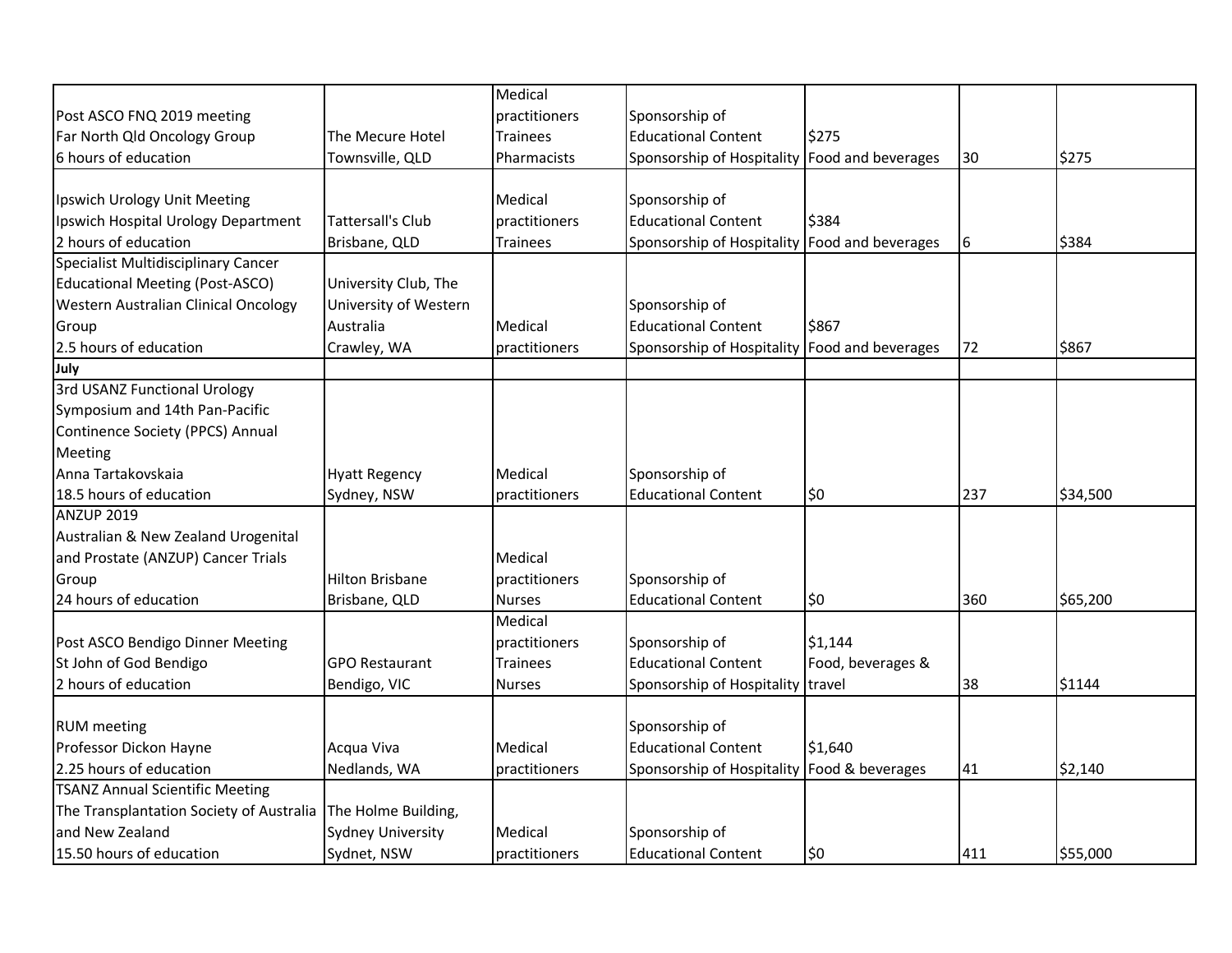|                                                              |                          | Medical         |                                               |                    |     |          |
|--------------------------------------------------------------|--------------------------|-----------------|-----------------------------------------------|--------------------|-----|----------|
| Post ASCO FNQ 2019 meeting                                   |                          | practitioners   | Sponsorship of                                |                    |     |          |
| Far North Qld Oncology Group                                 | The Mecure Hotel         | <b>Trainees</b> | <b>Educational Content</b>                    | \$275              |     |          |
| 6 hours of education                                         | Townsville, QLD          | Pharmacists     | Sponsorship of Hospitality                    | Food and beverages | 30  | \$275    |
|                                                              |                          |                 |                                               |                    |     |          |
| Ipswich Urology Unit Meeting                                 |                          | Medical         | Sponsorship of                                |                    |     |          |
| Ipswich Hospital Urology Department                          | <b>Tattersall's Club</b> | practitioners   | <b>Educational Content</b>                    | \$384              |     |          |
| 2 hours of education                                         | Brisbane, QLD            | <b>Trainees</b> | Sponsorship of Hospitality Food and beverages |                    | 6   | \$384    |
| Specialist Multidisciplinary Cancer                          |                          |                 |                                               |                    |     |          |
| <b>Educational Meeting (Post-ASCO)</b>                       | University Club, The     |                 |                                               |                    |     |          |
| Western Australian Clinical Oncology                         | University of Western    |                 | Sponsorship of                                |                    |     |          |
| Group                                                        | Australia                | Medical         | <b>Educational Content</b>                    | \$867              |     |          |
| 2.5 hours of education                                       | Crawley, WA              | practitioners   | Sponsorship of Hospitality Food and beverages |                    | 72  | \$867    |
| July                                                         |                          |                 |                                               |                    |     |          |
| 3rd USANZ Functional Urology                                 |                          |                 |                                               |                    |     |          |
| Symposium and 14th Pan-Pacific                               |                          |                 |                                               |                    |     |          |
| Continence Society (PPCS) Annual                             |                          |                 |                                               |                    |     |          |
| Meeting                                                      |                          |                 |                                               |                    |     |          |
| Anna Tartakovskaia                                           | <b>Hyatt Regency</b>     | Medical         | Sponsorship of                                |                    |     |          |
| 18.5 hours of education                                      | Sydney, NSW              | practitioners   | <b>Educational Content</b>                    | \$0                | 237 | \$34,500 |
| <b>ANZUP 2019</b>                                            |                          |                 |                                               |                    |     |          |
| Australian & New Zealand Urogenital                          |                          |                 |                                               |                    |     |          |
| and Prostate (ANZUP) Cancer Trials                           |                          | Medical         |                                               |                    |     |          |
| Group                                                        | <b>Hilton Brisbane</b>   | practitioners   | Sponsorship of                                |                    |     |          |
| 24 hours of education                                        | Brisbane, QLD            | <b>Nurses</b>   | <b>Educational Content</b>                    | \$0                | 360 | \$65,200 |
|                                                              |                          | Medical         |                                               |                    |     |          |
| Post ASCO Bendigo Dinner Meeting                             |                          | practitioners   | Sponsorship of                                | \$1,144            |     |          |
| St John of God Bendigo                                       | <b>GPO Restaurant</b>    | <b>Trainees</b> | <b>Educational Content</b>                    | Food, beverages &  |     |          |
| 2 hours of education                                         | Bendigo, VIC             | <b>Nurses</b>   | Sponsorship of Hospitality travel             |                    | 38  | \$1144   |
|                                                              |                          |                 |                                               |                    |     |          |
| <b>RUM</b> meeting                                           |                          |                 | Sponsorship of                                |                    |     |          |
| Professor Dickon Hayne                                       | Acqua Viva               | Medical         | <b>Educational Content</b>                    | \$1,640            |     |          |
| 2.25 hours of education                                      | Nedlands, WA             | practitioners   | Sponsorship of Hospitality Food & beverages   |                    | 41  | \$2,140  |
| <b>TSANZ Annual Scientific Meeting</b>                       |                          |                 |                                               |                    |     |          |
| The Transplantation Society of Australia The Holme Building, |                          |                 |                                               |                    |     |          |
| and New Zealand                                              | <b>Sydney University</b> | Medical         | Sponsorship of                                |                    |     |          |
| 15.50 hours of education                                     | Sydnet, NSW              | practitioners   | <b>Educational Content</b>                    | \$0                | 411 | \$55,000 |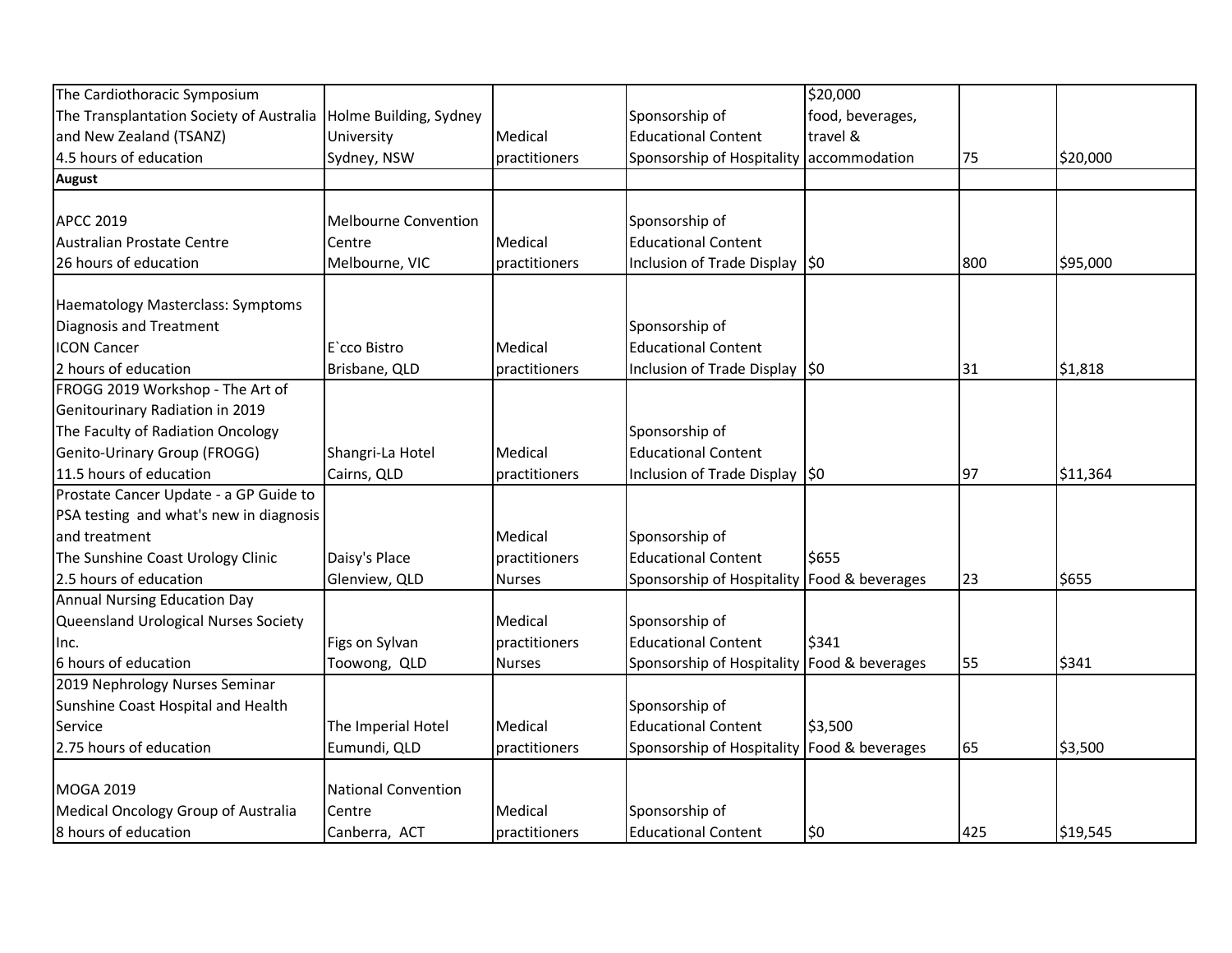| The Cardiothoracic Symposium                                    |                             |               |                                             | \$20,000         |     |          |
|-----------------------------------------------------------------|-----------------------------|---------------|---------------------------------------------|------------------|-----|----------|
| The Transplantation Society of Australia Holme Building, Sydney |                             |               | Sponsorship of                              | food, beverages, |     |          |
| and New Zealand (TSANZ)                                         | University                  | Medical       | <b>Educational Content</b>                  | travel &         |     |          |
| 4.5 hours of education                                          | Sydney, NSW                 | practitioners | Sponsorship of Hospitality accommodation    |                  | 75  | \$20,000 |
| <b>August</b>                                                   |                             |               |                                             |                  |     |          |
|                                                                 |                             |               |                                             |                  |     |          |
| <b>APCC 2019</b>                                                | <b>Melbourne Convention</b> |               | Sponsorship of                              |                  |     |          |
| Australian Prostate Centre                                      | Centre                      | Medical       | <b>Educational Content</b>                  |                  |     |          |
| 26 hours of education                                           | Melbourne, VIC              | practitioners | Inclusion of Trade Display \$0              |                  | 800 | \$95,000 |
| Haematology Masterclass: Symptoms                               |                             |               |                                             |                  |     |          |
| <b>Diagnosis and Treatment</b>                                  |                             |               | Sponsorship of                              |                  |     |          |
| <b>ICON Cancer</b>                                              | E`cco Bistro                | Medical       | <b>Educational Content</b>                  |                  |     |          |
| 2 hours of education                                            | Brisbane, QLD               | practitioners | Inclusion of Trade Display \$0              |                  | 31  | \$1,818  |
| FROGG 2019 Workshop - The Art of                                |                             |               |                                             |                  |     |          |
| Genitourinary Radiation in 2019                                 |                             |               |                                             |                  |     |          |
| The Faculty of Radiation Oncology                               |                             |               | Sponsorship of                              |                  |     |          |
| Genito-Urinary Group (FROGG)                                    | Shangri-La Hotel            | Medical       | <b>Educational Content</b>                  |                  |     |          |
| 11.5 hours of education                                         | Cairns, QLD                 | practitioners | Inclusion of Trade Display \$0              |                  | 97  | \$11,364 |
| Prostate Cancer Update - a GP Guide to                          |                             |               |                                             |                  |     |          |
| PSA testing and what's new in diagnosis                         |                             |               |                                             |                  |     |          |
| and treatment                                                   |                             | Medical       | Sponsorship of                              |                  |     |          |
| The Sunshine Coast Urology Clinic                               | Daisy's Place               | practitioners | <b>Educational Content</b>                  | \$655            |     |          |
| 2.5 hours of education                                          | Glenview, QLD               | <b>Nurses</b> | Sponsorship of Hospitality Food & beverages |                  | 23  | \$655    |
| <b>Annual Nursing Education Day</b>                             |                             |               |                                             |                  |     |          |
| Queensland Urological Nurses Society                            |                             | Medical       | Sponsorship of                              |                  |     |          |
| Inc.                                                            | Figs on Sylvan              | practitioners | <b>Educational Content</b>                  | \$341            |     |          |
| 6 hours of education                                            | Toowong, QLD                | <b>Nurses</b> | Sponsorship of Hospitality Food & beverages |                  | 55  | \$341    |
| 2019 Nephrology Nurses Seminar                                  |                             |               |                                             |                  |     |          |
| Sunshine Coast Hospital and Health                              |                             |               | Sponsorship of                              |                  |     |          |
| Service                                                         | The Imperial Hotel          | Medical       | <b>Educational Content</b>                  | \$3,500          |     |          |
| 2.75 hours of education                                         | Eumundi, QLD                | practitioners | Sponsorship of Hospitality Food & beverages |                  | 65  | \$3,500  |
|                                                                 |                             |               |                                             |                  |     |          |
| <b>MOGA 2019</b>                                                | National Convention         |               |                                             |                  |     |          |
| Medical Oncology Group of Australia                             | Centre                      | Medical       | Sponsorship of                              |                  |     |          |
| 8 hours of education                                            | Canberra, ACT               | practitioners | <b>Educational Content</b>                  | \$0              | 425 | \$19,545 |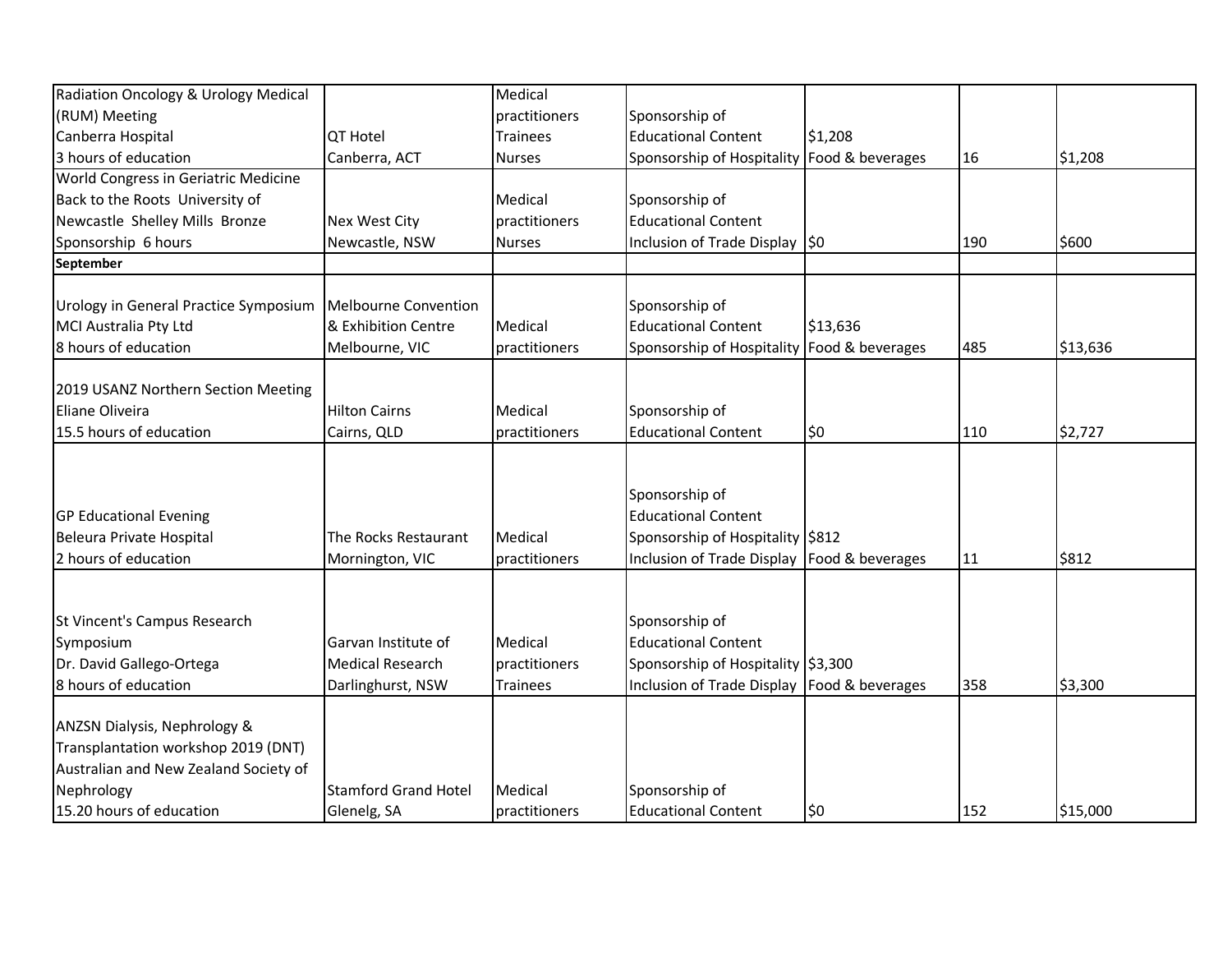| Radiation Oncology & Urology Medical                   |                             | Medical         |                                               |          |     |          |
|--------------------------------------------------------|-----------------------------|-----------------|-----------------------------------------------|----------|-----|----------|
| (RUM) Meeting                                          |                             | practitioners   | Sponsorship of                                |          |     |          |
| Canberra Hospital                                      | <b>QT Hotel</b>             | <b>Trainees</b> | <b>Educational Content</b>                    | \$1,208  |     |          |
| 3 hours of education                                   | Canberra, ACT               | <b>Nurses</b>   | Sponsorship of Hospitality Food & beverages   |          | 16  | \$1,208  |
| World Congress in Geriatric Medicine                   |                             |                 |                                               |          |     |          |
| Back to the Roots University of                        |                             | Medical         | Sponsorship of                                |          |     |          |
| Newcastle Shelley Mills Bronze                         | <b>Nex West City</b>        | practitioners   | <b>Educational Content</b>                    |          |     |          |
| Sponsorship 6 hours                                    | Newcastle, NSW              | <b>Nurses</b>   | Inclusion of Trade Display \$0                |          | 190 | \$600    |
| September                                              |                             |                 |                                               |          |     |          |
| Urology in General Practice Symposium                  | Melbourne Convention        |                 | Sponsorship of                                |          |     |          |
| MCI Australia Pty Ltd                                  | & Exhibition Centre         | Medical         | <b>Educational Content</b>                    | \$13,636 |     |          |
| 8 hours of education                                   | Melbourne, VIC              | practitioners   | Sponsorship of Hospitality Food & beverages   |          | 485 | \$13,636 |
|                                                        |                             |                 |                                               |          |     |          |
| 2019 USANZ Northern Section Meeting<br>Eliane Oliveira |                             |                 |                                               |          |     |          |
|                                                        | <b>Hilton Cairns</b>        | Medical         | Sponsorship of                                |          |     |          |
| 15.5 hours of education                                | Cairns, QLD                 | practitioners   | <b>Educational Content</b>                    | \$0      | 110 | \$2,727  |
|                                                        |                             |                 |                                               |          |     |          |
|                                                        |                             |                 | Sponsorship of                                |          |     |          |
| <b>GP Educational Evening</b>                          |                             |                 | <b>Educational Content</b>                    |          |     |          |
| Beleura Private Hospital                               | The Rocks Restaurant        | Medical         | Sponsorship of Hospitality \$812              |          |     |          |
| 2 hours of education                                   | Mornington, VIC             | practitioners   | Inclusion of Trade Display   Food & beverages |          | 11  | \$812    |
|                                                        |                             |                 |                                               |          |     |          |
|                                                        |                             |                 |                                               |          |     |          |
| St Vincent's Campus Research                           |                             |                 | Sponsorship of                                |          |     |          |
| Symposium                                              | Garvan Institute of         | Medical         | <b>Educational Content</b>                    |          |     |          |
| Dr. David Gallego-Ortega                               | <b>Medical Research</b>     | practitioners   | Sponsorship of Hospitality \$3,300            |          |     |          |
| 8 hours of education                                   | Darlinghurst, NSW           | <b>Trainees</b> | Inclusion of Trade Display   Food & beverages |          | 358 | \$3,300  |
| ANZSN Dialysis, Nephrology &                           |                             |                 |                                               |          |     |          |
| Transplantation workshop 2019 (DNT)                    |                             |                 |                                               |          |     |          |
| Australian and New Zealand Society of                  |                             |                 |                                               |          |     |          |
| Nephrology                                             | <b>Stamford Grand Hotel</b> | Medical         | Sponsorship of                                |          |     |          |
| 15.20 hours of education                               | Glenelg, SA                 | practitioners   | <b>Educational Content</b>                    | \$0      | 152 | \$15,000 |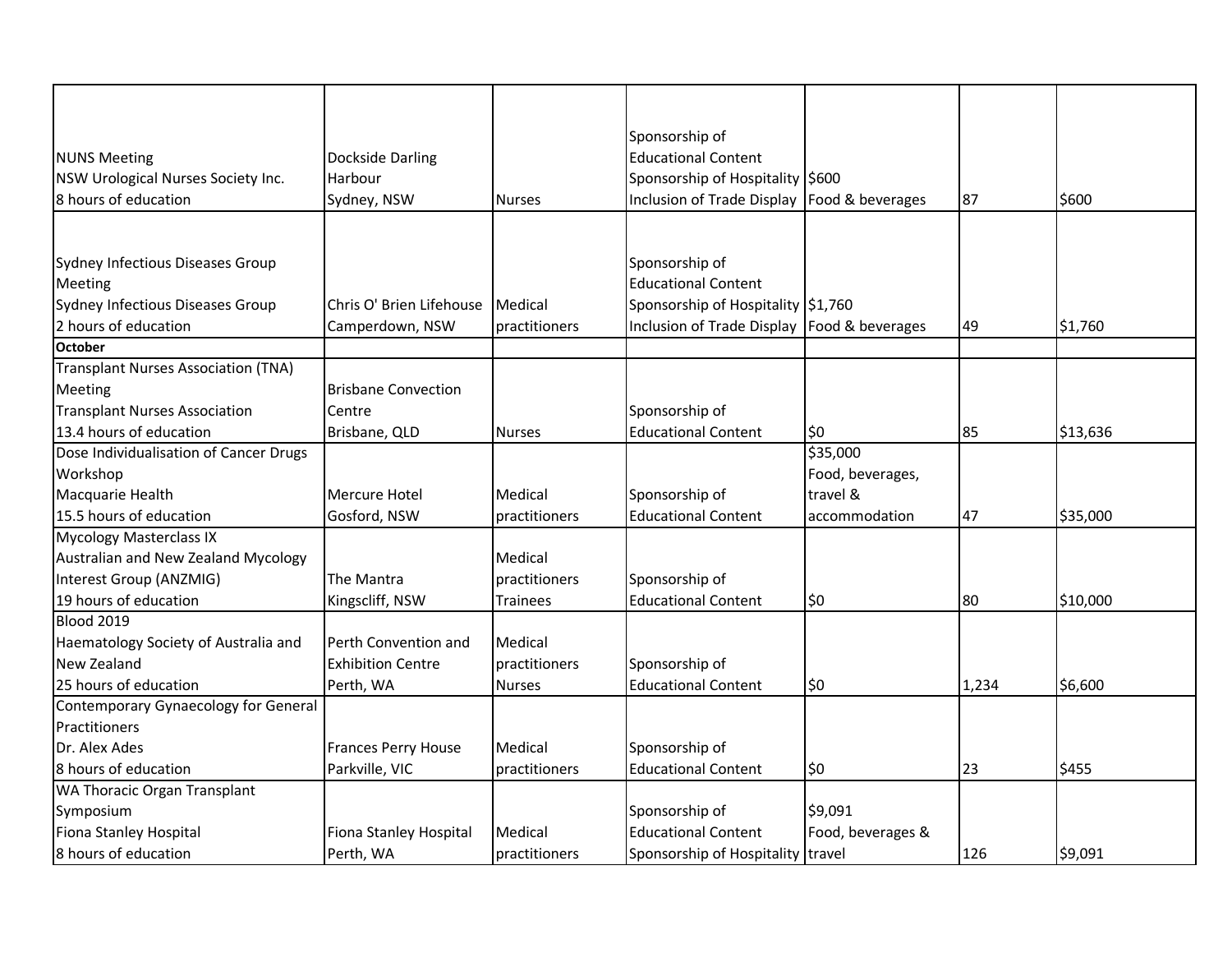|                                            |                            |                 | Sponsorship of                                |                   |       |          |
|--------------------------------------------|----------------------------|-----------------|-----------------------------------------------|-------------------|-------|----------|
| <b>NUNS Meeting</b>                        | Dockside Darling           |                 | <b>Educational Content</b>                    |                   |       |          |
| NSW Urological Nurses Society Inc.         | Harbour                    |                 | Sponsorship of Hospitality \$600              |                   |       |          |
| 8 hours of education                       | Sydney, NSW                | <b>Nurses</b>   | Inclusion of Trade Display   Food & beverages |                   | 87    | \$600    |
|                                            |                            |                 |                                               |                   |       |          |
|                                            |                            |                 |                                               |                   |       |          |
| Sydney Infectious Diseases Group           |                            |                 | Sponsorship of                                |                   |       |          |
| Meeting                                    |                            |                 | <b>Educational Content</b>                    |                   |       |          |
| Sydney Infectious Diseases Group           | Chris O' Brien Lifehouse   | <b>Medical</b>  | Sponsorship of Hospitality \$1,760            |                   |       |          |
| 2 hours of education                       | Camperdown, NSW            | practitioners   | Inclusion of Trade Display   Food & beverages |                   | 49    | \$1,760  |
| <b>October</b>                             |                            |                 |                                               |                   |       |          |
| <b>Transplant Nurses Association (TNA)</b> |                            |                 |                                               |                   |       |          |
| Meeting                                    | <b>Brisbane Convection</b> |                 |                                               |                   |       |          |
| <b>Transplant Nurses Association</b>       | Centre                     |                 | Sponsorship of                                |                   |       |          |
| 13.4 hours of education                    | Brisbane, QLD              | <b>Nurses</b>   | <b>Educational Content</b>                    | \$0               | 85    | \$13,636 |
| Dose Individualisation of Cancer Drugs     |                            |                 |                                               | \$35,000          |       |          |
| Workshop                                   |                            |                 |                                               | Food, beverages,  |       |          |
| Macquarie Health                           | <b>Mercure Hotel</b>       | Medical         | Sponsorship of                                | travel &          |       |          |
| 15.5 hours of education                    | Gosford, NSW               | practitioners   | <b>Educational Content</b>                    | accommodation     | 47    | \$35,000 |
| <b>Mycology Masterclass IX</b>             |                            |                 |                                               |                   |       |          |
| Australian and New Zealand Mycology        |                            | Medical         |                                               |                   |       |          |
| Interest Group (ANZMIG)                    | The Mantra                 | practitioners   | Sponsorship of                                |                   |       |          |
| 19 hours of education                      | Kingscliff, NSW            | <b>Trainees</b> | <b>Educational Content</b>                    | \$0               | 80    | \$10,000 |
| <b>Blood 2019</b>                          |                            |                 |                                               |                   |       |          |
| Haematology Society of Australia and       | Perth Convention and       | Medical         |                                               |                   |       |          |
| New Zealand                                | <b>Exhibition Centre</b>   | practitioners   | Sponsorship of                                |                   |       |          |
| 25 hours of education                      | Perth, WA                  | <b>Nurses</b>   | <b>Educational Content</b>                    | \$0               | 1,234 | \$6,600  |
| Contemporary Gynaecology for General       |                            |                 |                                               |                   |       |          |
| Practitioners                              |                            |                 |                                               |                   |       |          |
| Dr. Alex Ades                              | <b>Frances Perry House</b> | Medical         | Sponsorship of                                |                   |       |          |
| 8 hours of education                       | Parkville, VIC             | practitioners   | <b>Educational Content</b>                    | \$0               | 23    | \$455    |
| WA Thoracic Organ Transplant               |                            |                 |                                               |                   |       |          |
| Symposium                                  |                            |                 | Sponsorship of                                | \$9,091           |       |          |
| Fiona Stanley Hospital                     | Fiona Stanley Hospital     | Medical         | <b>Educational Content</b>                    | Food, beverages & |       |          |
| 8 hours of education                       | Perth, WA                  | practitioners   | Sponsorship of Hospitality travel             |                   | 126   | \$9,091  |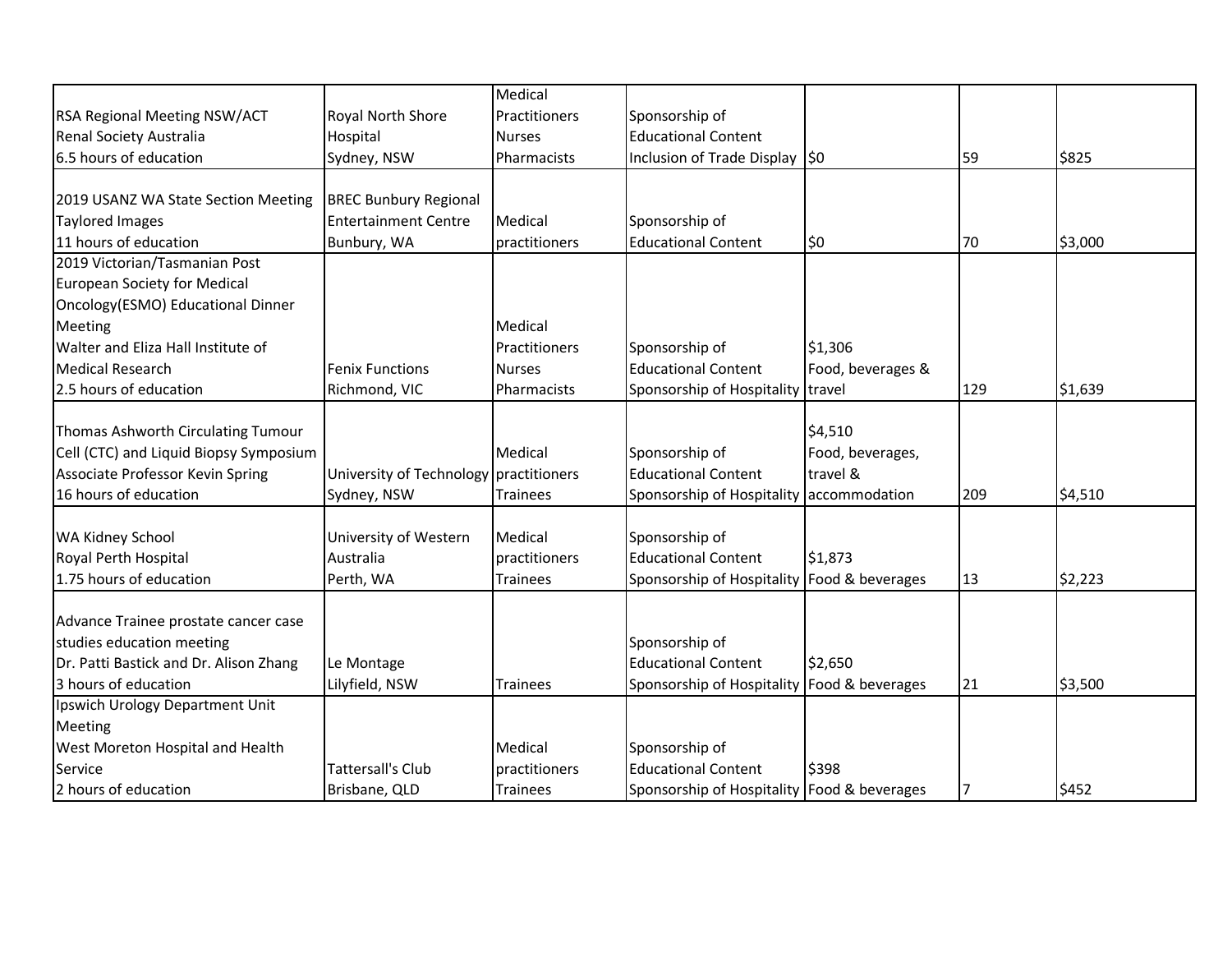|                                        |                                        | Medical         |                                             |                   |     |         |
|----------------------------------------|----------------------------------------|-----------------|---------------------------------------------|-------------------|-----|---------|
| RSA Regional Meeting NSW/ACT           | Royal North Shore                      | Practitioners   | Sponsorship of                              |                   |     |         |
| Renal Society Australia                | Hospital                               | <b>Nurses</b>   | <b>Educational Content</b>                  |                   |     |         |
| 6.5 hours of education                 | Sydney, NSW                            | Pharmacists     | Inclusion of Trade Display 50               |                   | 59  | \$825   |
|                                        |                                        |                 |                                             |                   |     |         |
| 2019 USANZ WA State Section Meeting    | <b>BREC Bunbury Regional</b>           |                 |                                             |                   |     |         |
| <b>Taylored Images</b>                 | <b>Entertainment Centre</b>            | Medical         | Sponsorship of                              |                   |     |         |
| 11 hours of education                  | Bunbury, WA                            | practitioners   | <b>Educational Content</b>                  | \$0               | 70  | \$3,000 |
| 2019 Victorian/Tasmanian Post          |                                        |                 |                                             |                   |     |         |
| <b>European Society for Medical</b>    |                                        |                 |                                             |                   |     |         |
| Oncology(ESMO) Educational Dinner      |                                        |                 |                                             |                   |     |         |
| <b>Meeting</b>                         |                                        | Medical         |                                             |                   |     |         |
| Walter and Eliza Hall Institute of     |                                        | Practitioners   | Sponsorship of                              | \$1,306           |     |         |
| <b>Medical Research</b>                | <b>Fenix Functions</b>                 | <b>Nurses</b>   | <b>Educational Content</b>                  | Food, beverages & |     |         |
| 2.5 hours of education                 | Richmond, VIC                          | Pharmacists     | Sponsorship of Hospitality travel           |                   | 129 | \$1,639 |
|                                        |                                        |                 |                                             |                   |     |         |
| Thomas Ashworth Circulating Tumour     |                                        |                 |                                             | \$4,510           |     |         |
| Cell (CTC) and Liquid Biopsy Symposium |                                        | Medical         | Sponsorship of                              | Food, beverages,  |     |         |
| Associate Professor Kevin Spring       | University of Technology practitioners |                 | <b>Educational Content</b>                  | travel &          |     |         |
| 16 hours of education                  | Sydney, NSW                            | <b>Trainees</b> | Sponsorship of Hospitality                  | accommodation     | 209 | \$4,510 |
|                                        |                                        |                 |                                             |                   |     |         |
| WA Kidney School                       | University of Western                  | Medical         | Sponsorship of                              |                   |     |         |
| Royal Perth Hospital                   | Australia                              | practitioners   | <b>Educational Content</b>                  | \$1,873           |     |         |
| 1.75 hours of education                | Perth, WA                              | <b>Trainees</b> | Sponsorship of Hospitality Food & beverages |                   | 13  | \$2,223 |
| Advance Trainee prostate cancer case   |                                        |                 |                                             |                   |     |         |
| studies education meeting              |                                        |                 | Sponsorship of                              |                   |     |         |
| Dr. Patti Bastick and Dr. Alison Zhang | Le Montage                             |                 | <b>Educational Content</b>                  | \$2,650           |     |         |
| 3 hours of education                   | Lilyfield, NSW                         | <b>Trainees</b> | Sponsorship of Hospitality Food & beverages |                   | 21  | \$3,500 |
| Ipswich Urology Department Unit        |                                        |                 |                                             |                   |     |         |
| Meeting                                |                                        |                 |                                             |                   |     |         |
| West Moreton Hospital and Health       |                                        | Medical         | Sponsorship of                              |                   |     |         |
| Service                                | <b>Tattersall's Club</b>               | practitioners   | <b>Educational Content</b>                  | \$398             |     |         |
| 2 hours of education                   | Brisbane, QLD                          | Trainees        | Sponsorship of Hospitality Food & beverages |                   | 17  | \$452   |